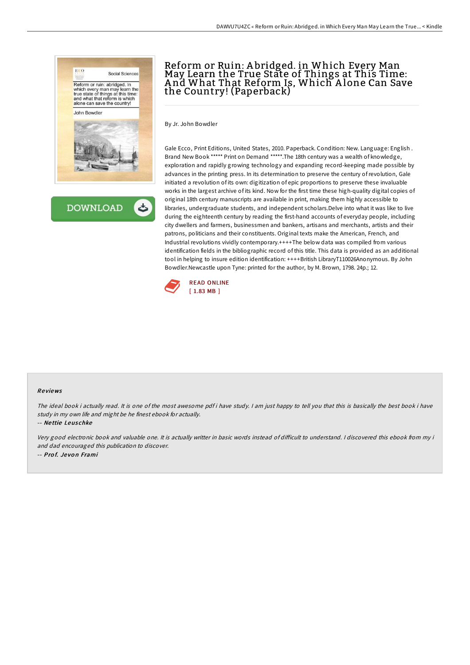



# Reform or Ruin: A bridged. in Which Every Man May Learn the True State of Things at This Time: A nd What That Reform Is, Which A lone Can Save the Country! (Paperback)

By Jr. John Bowdler

Gale Ecco, Print Editions, United States, 2010. Paperback. Condition: New. Language: English . Brand New Book \*\*\*\*\* Print on Demand \*\*\*\*\*.The 18th century was a wealth of knowledge, exploration and rapidly growing technology and expanding record-keeping made possible by advances in the printing press. In its determination to preserve the century ofrevolution, Gale initiated a revolution of its own: digitization of epic proportions to preserve these invaluable works in the largest archive of its kind. Now for the first time these high-quality digital copies of original 18th century manuscripts are available in print, making them highly accessible to libraries, undergraduate students, and independent scholars.Delve into what it was like to live during the eighteenth century by reading the first-hand accounts of everyday people, including city dwellers and farmers, businessmen and bankers, artisans and merchants, artists and their patrons, politicians and their constituents. Original texts make the American, French, and Industrial revolutions vividly contemporary.++++The below data was compiled from various identification fields in the bibliographic record of this title. This data is provided as an additional tool in helping to insure edition identification: ++++British LibraryT110026Anonymous. By John Bowdler.Newcastle upon Tyne: printed for the author, by M. Brown, 1798. 24p.; 12.



#### Re views

The ideal book i actually read. It is one of the most awesome pdf i have study. I am just happy to tell you that this is basically the best book i have study in my own life and might be he finest ebook for actually.

-- Ne ttie Leus chke

Very good electronic book and valuable one. It is actually writter in basic words instead of diFicult to understand. <sup>I</sup> discovered this ebook from my i and dad encouraged this publication to discover. -- Pro f. Je vo <sup>n</sup> Frami